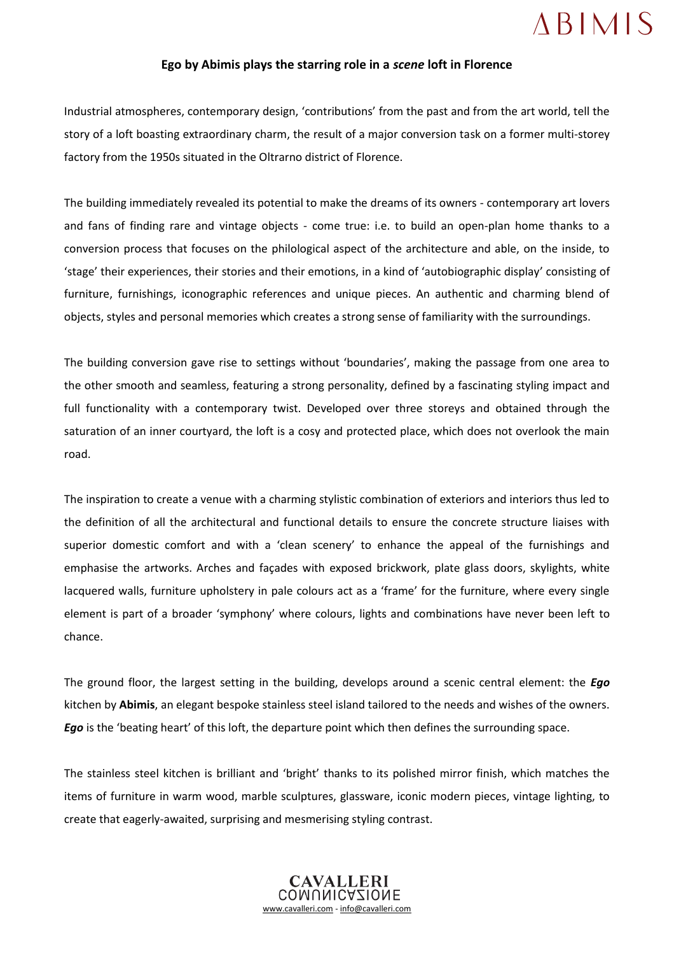## **ABIMIS**

## **Ego by Abimis plays the starring role in a** *scene* **loft in Florence**

Industrial atmospheres, contemporary design, 'contributions' from the past and from the art world, tell the story of a loft boasting extraordinary charm, the result of a major conversion task on a former multi-storey factory from the 1950s situated in the Oltrarno district of Florence.

The building immediately revealed its potential to make the dreams of its owners - contemporary art lovers and fans of finding rare and vintage objects - come true: i.e. to build an open-plan home thanks to a conversion process that focuses on the philological aspect of the architecture and able, on the inside, to 'stage' their experiences, their stories and their emotions, in a kind of 'autobiographic display' consisting of furniture, furnishings, iconographic references and unique pieces. An authentic and charming blend of objects, styles and personal memories which creates a strong sense of familiarity with the surroundings.

The building conversion gave rise to settings without 'boundaries', making the passage from one area to the other smooth and seamless, featuring a strong personality, defined by a fascinating styling impact and full functionality with a contemporary twist. Developed over three storeys and obtained through the saturation of an inner courtyard, the loft is a cosy and protected place, which does not overlook the main road.

The inspiration to create a venue with a charming stylistic combination of exteriors and interiors thus led to the definition of all the architectural and functional details to ensure the concrete structure liaises with superior domestic comfort and with a 'clean scenery' to enhance the appeal of the furnishings and emphasise the artworks. Arches and façades with exposed brickwork, plate glass doors, skylights, white lacquered walls, furniture upholstery in pale colours act as a 'frame' for the furniture, where every single element is part of a broader 'symphony' where colours, lights and combinations have never been left to chance.

The ground floor, the largest setting in the building, develops around a scenic central element: the *Ego* kitchen by **Abimis**, an elegant bespoke stainless steel island tailored to the needs and wishes of the owners. *Ego* is the 'beating heart' of this loft, the departure point which then defines the surrounding space.

The stainless steel kitchen is brilliant and 'bright' thanks to its polished mirror finish, which matches the items of furniture in warm wood, marble sculptures, glassware, iconic modern pieces, vintage lighting, to create that eagerly-awaited, surprising and mesmerising styling contrast.